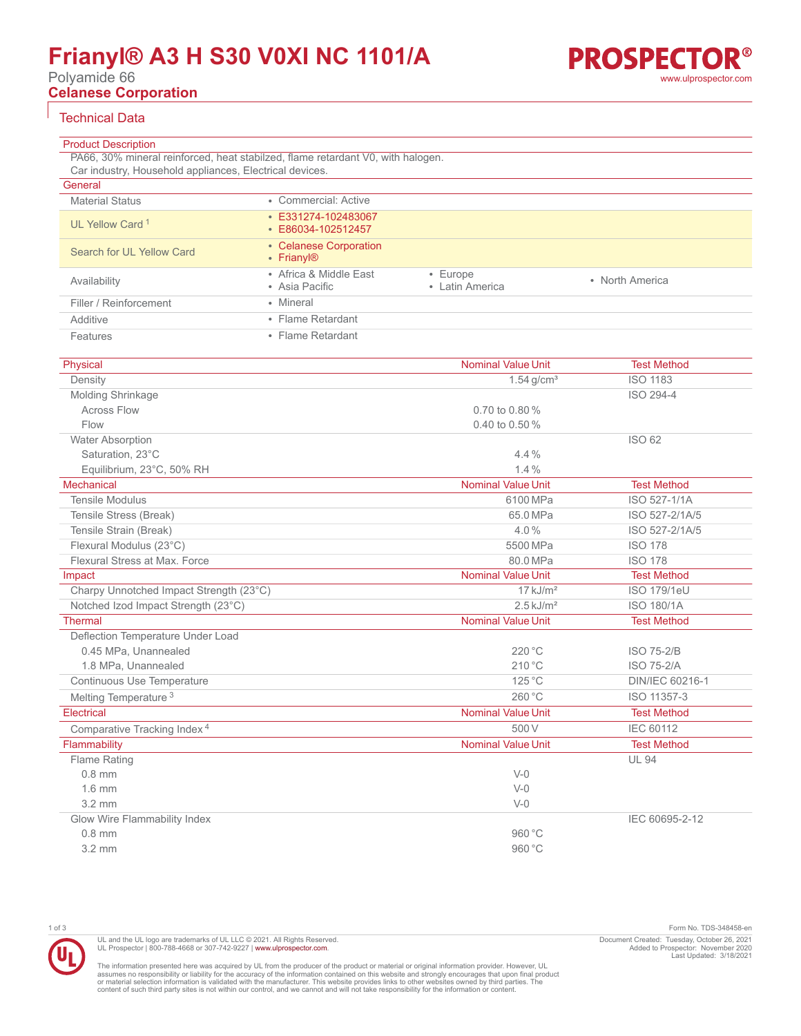# **Frianyl® A3 H S30 V0XI NC 1101/A**

Polyamide 66

**Celanese Corporation**

# Technical Data

| <b>Product Description</b>                              |                                                                                 |                                   |                 |
|---------------------------------------------------------|---------------------------------------------------------------------------------|-----------------------------------|-----------------|
|                                                         | PA66, 30% mineral reinforced, heat stabilzed, flame retardant V0, with halogen. |                                   |                 |
| Car industry, Household appliances, Electrical devices. |                                                                                 |                                   |                 |
| General                                                 |                                                                                 |                                   |                 |
| <b>Material Status</b>                                  | • Commercial: Active                                                            |                                   |                 |
| UL Yellow Card <sup>1</sup>                             | • E331274-102483067<br>$\cdot$ E86034-102512457                                 |                                   |                 |
| Search for UL Yellow Card                               | • Celanese Corporation<br>$\cdot$ Frianyl <sup>®</sup>                          |                                   |                 |
| Availability                                            | • Africa & Middle East<br>• Asia Pacific                                        | $\cdot$ Europe<br>• Latin America | • North America |
| Filler / Reinforcement                                  | • Mineral                                                                       |                                   |                 |
| Additive                                                | • Flame Retardant                                                               |                                   |                 |
| Features                                                | • Flame Retardant                                                               |                                   |                 |

| Physical                                | <b>Nominal Value Unit</b> | <b>Test Method</b> |
|-----------------------------------------|---------------------------|--------------------|
| Density                                 | $1.54$ g/cm <sup>3</sup>  | <b>ISO 1183</b>    |
| Molding Shrinkage                       |                           | ISO 294-4          |
| <b>Across Flow</b>                      | 0.70 to 0.80 %            |                    |
| Flow                                    | $0.40$ to $0.50\%$        |                    |
| <b>Water Absorption</b>                 |                           | ISO 62             |
| Saturation. 23°C                        | 4.4%                      |                    |
| Equilibrium, 23°C, 50% RH               | 1.4%                      |                    |
| Mechanical                              | <b>Nominal Value Unit</b> | <b>Test Method</b> |
| <b>Tensile Modulus</b>                  | 6100 MPa                  | ISO 527-1/1A       |
| Tensile Stress (Break)                  | 65.0 MPa                  | ISO 527-2/1A/5     |
| Tensile Strain (Break)                  | 4.0%                      | ISO 527-2/1A/5     |
| Flexural Modulus (23°C)                 | 5500 MPa                  | <b>ISO 178</b>     |
| Flexural Stress at Max. Force           | 80.0 MPa                  | <b>ISO 178</b>     |
| Impact                                  | <b>Nominal Value Unit</b> | <b>Test Method</b> |
| Charpy Unnotched Impact Strength (23°C) | $17$ kJ/m <sup>2</sup>    | <b>ISO 179/1eU</b> |
| Notched Izod Impact Strength (23°C)     | $2.5$ kJ/m <sup>2</sup>   | <b>ISO 180/1A</b>  |
| <b>Thermal</b>                          | <b>Nominal Value Unit</b> | <b>Test Method</b> |
| Deflection Temperature Under Load       |                           |                    |
| 0.45 MPa, Unannealed                    | 220 °C                    | <b>ISO 75-2/B</b>  |
| 1.8 MPa, Unannealed                     | 210 °C                    | <b>ISO 75-2/A</b>  |
| Continuous Use Temperature              | 125 °C                    | DIN/IEC 60216-1    |
| Melting Temperature <sup>3</sup>        | 260 °C                    | ISO 11357-3        |
| Electrical                              | <b>Nominal Value Unit</b> | <b>Test Method</b> |
| Comparative Tracking Index <sup>4</sup> | 500 V                     | <b>IEC 60112</b>   |
| Flammability                            | <b>Nominal Value Unit</b> | <b>Test Method</b> |
| Flame Rating                            |                           | <b>UL 94</b>       |
| $0.8$ mm                                | $V-0$                     |                    |
| $1.6$ mm                                | $V-0$                     |                    |
| $3.2 \text{ mm}$                        | $V-0$                     |                    |
| Glow Wire Flammability Index            |                           | IEC 60695-2-12     |
| $0.8$ mm                                | 960 °C                    |                    |
| $3.2 \text{ mm}$                        | 960 °C                    |                    |

1 of 3 Form No. TDS-348458-en Document Created: Tuesday, October 26, 2021 Added to Prospector: November 2020 Last Updated: 3/18/2021

The information presented here was acquired by UL from the producer of the product or material or original information provider. However, UL<br>assumes no responsibility or liability for the accuracy of the information contai

UL and the UL logo are trademarks of UL LLC © 2021. All Rights Reserved.<br>UL Prospector | 800-788-4668 or 307-742-9227 | [www.ulprospector.com](http://www.ulprospector.com).

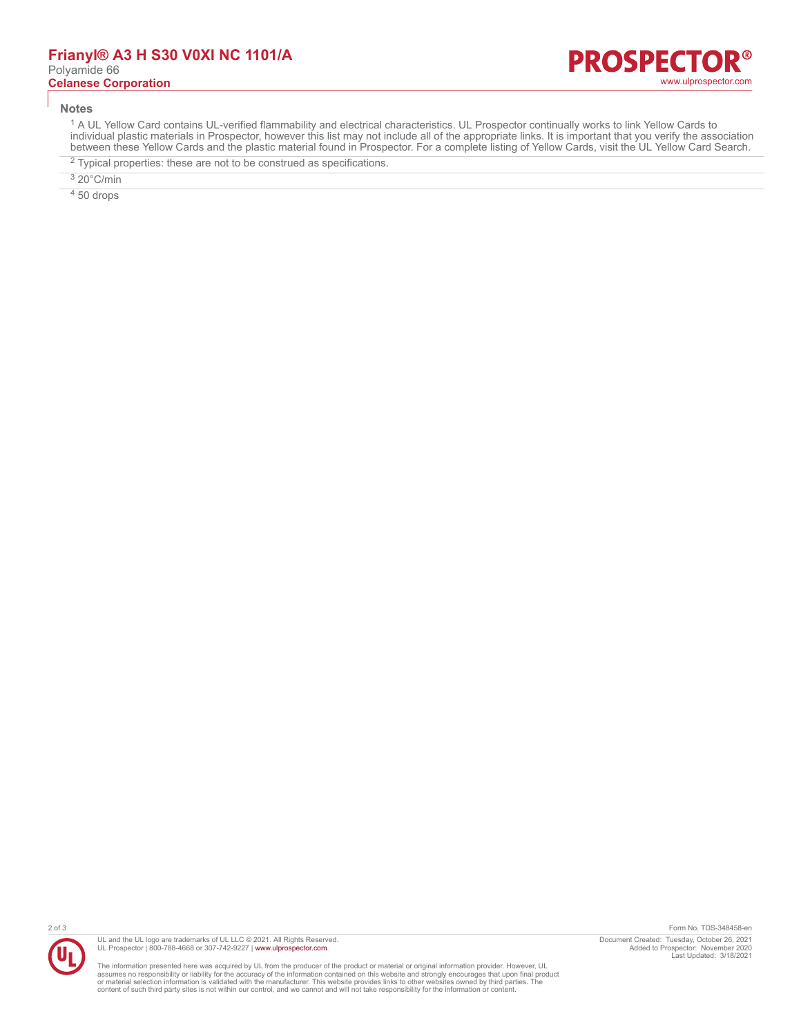#### **Notes**

<sup>1</sup> A UL Yellow Card contains UL-verified flammability and electrical characteristics. UL Prospector continually works to link Yellow Cards to individual plastic materials in Prospector, however this list may not include all of the appropriate links. It is important that you verify the association between these Yellow Cards and the plastic material found in Prospector. For a complete listing of Yellow Cards, visit the UL Yellow Card Search.

- $2$  Typical properties: these are not to be construed as specifications.
- 3 20°C/min

 $450$  drops



UL and the UL logo are trademarks of UL LLC © 2021. All Rights Reserved. UL Prospector | 800-788-4668 or 307-742-9227 | [www.ulprospector.com](http://www.ulprospector.com).

The information presented here was acquired by UL from the producer of the product or material or original information provider. However, UL<br>assumes no responsibility or liability for the accuracy of the information contai

2 of 3 Form No. TDS-348458-en Document Created: Tuesday, October 26, 2021 Added to Prospector: November 2020 Last Updated: 3/18/2021